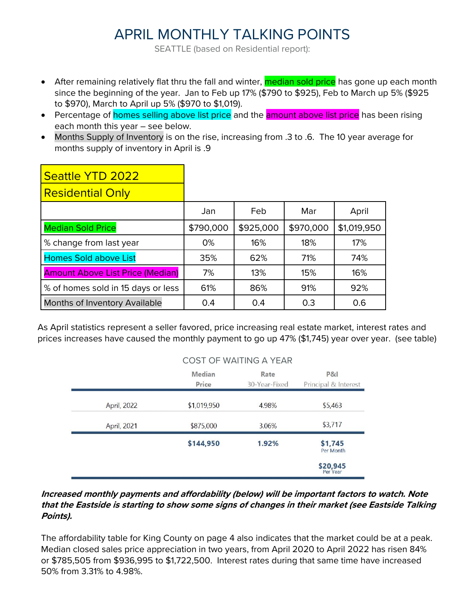## APRIL MONTHLY TALKING POINTS

SEATTLE (based on Residential report):

- After remaining relatively flat thru the fall and winter, **median sold price** has gone up each month since the beginning of the year. Jan to Feb up 17% (\$790 to \$925), Feb to March up 5% (\$925 to \$970), March to April up 5% (\$970 to \$1,019).
- Percentage of **homes selling above list price** and the **amount above list price** has been rising each month this year – see below.
- Months Supply of Inventory is on the rise, increasing from .3 to .6. The 10 year average for months supply of inventory in April is .9

| Seattle YTD 2022                        |           |           |           |             |
|-----------------------------------------|-----------|-----------|-----------|-------------|
| <b>Residential Only</b>                 |           |           |           |             |
|                                         | Jan       | Feb       | Mar       | April       |
| <b>Median Sold Price</b>                | \$790,000 | \$925,000 | \$970,000 | \$1,019,950 |
| % change from last year                 | 0%        | 16%       | 18%       | 17%         |
| <b>Homes Sold above List</b>            | 35%       | 62%       | 71%       | 74%         |
| <b>Amount Above List Price (Median)</b> | 7%        | 13%       | 15%       | 16%         |
| % of homes sold in 15 days or less      | 61%       | 86%       | 91%       | 92%         |
| <b>Months of Inventory Available</b>    | 0.4       | 0.4       | 0.3       | 0.6         |

As April statistics represent a seller favored, price increasing real estate market, interest rates and prices increases have caused the monthly payment to go up 47% (\$1,745) year over year. (see table)

|             | <b>COST OF WAITING A YEAR</b> |               |                      |  |  |  |  |  |  |  |  |
|-------------|-------------------------------|---------------|----------------------|--|--|--|--|--|--|--|--|
|             | <b>Median</b>                 | Rate          | P81                  |  |  |  |  |  |  |  |  |
|             | Price                         | 30-Year-Fixed | Principal & Interest |  |  |  |  |  |  |  |  |
| April, 2022 | \$1,019,950                   | 4.98%         | \$5,463              |  |  |  |  |  |  |  |  |
| April, 2021 | \$875,000                     | 3.06%         | \$3,717              |  |  |  |  |  |  |  |  |
|             | \$144,950                     | 1.92%         | \$1,745<br>Per Month |  |  |  |  |  |  |  |  |
|             |                               |               | \$20,945<br>Per Year |  |  |  |  |  |  |  |  |

## **Increased monthly payments and affordability (below) will be important factors to watch. Note that the Eastside is starting to show some signs of changes in their market (see Eastside Talking Points).**

The affordability table for King County on page 4 also indicates that the market could be at a peak. Median closed sales price appreciation in two years, from April 2020 to April 2022 has risen 84% or \$785,505 from \$936,995 to \$1,722,500. Interest rates during that same time have increased 50% from 3.31% to 4.98%.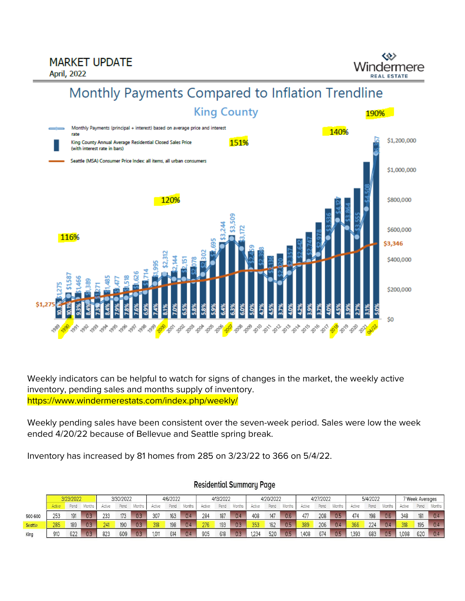**MARKET UPDATE** 

**April, 2022** 

Windermere **EAL ESTATE** 

## Monthly Payments Compared to Inflation Trendline



Weekly indicators can be helpful to watch for signs of changes in the market, the weekly active inventory, pending sales and months supply of inventory. https://www.windermerestats.com/index.php/weekly/

Weekly pending sales have been consistent over the seven-week period. Sales were low the week ended 4/20/22 because of Bellevue and Seattle spring break.

Inventory has increased by 81 homes from 285 on 3/23/22 to 366 on 5/4/22.

|                | 3/23/2022 |      | 3/30/2022 |        | 4/6/2022 |        |        | 4/13/2022 |               |        | 4/20/2022 |        |        | 4/27/2022 |        |        | 5/4/2022 |        |        | <b>Week Averages</b> |        |        |      |        |
|----------------|-----------|------|-----------|--------|----------|--------|--------|-----------|---------------|--------|-----------|--------|--------|-----------|--------|--------|----------|--------|--------|----------------------|--------|--------|------|--------|
|                | Active    | Pend | Months    | Active | Pend     | Months | Active | Pend      | <b>Months</b> | Active | Pend      | Months | Active | Pend      | Months | Active | Pend     | Months | Active | Pend                 | Months | Active | Pend | Months |
| 500-600        |           | 191  | 0.3       | 233    | 173      | 0.3    | 307    | 163       | 0.4           | 284    | 187       | 0.4    | 408    | 147       | 0.6    | 477    | 208      | 0.5    | 474    | 198                  | 0.6    | 348    | 181  | 0.4    |
| <b>Seattle</b> | 285       | 189  | 0.3       | 241    | 190      | 0.3    | 318    | 198       | 0.4           | 276    | 193       | 0.3    | 353    | 162       | 0.5    | 389    | 206      | 0.4    | 366    | 224                  | 0.4    | 318    | 195  | 0.4    |
| King           | 910       | 622  | 0.3       | 823    | 609      | 0.3    | 1,011  | 614       | 0.4           | 905    | 618       | 0.3    | 1.234  | 520       | 0.5    | 1,408  | 674      | 0.5    | 1.393  | 683                  | 0.5    | 1,098  | 620  | 0.4    |

## **Residential Summary Page**